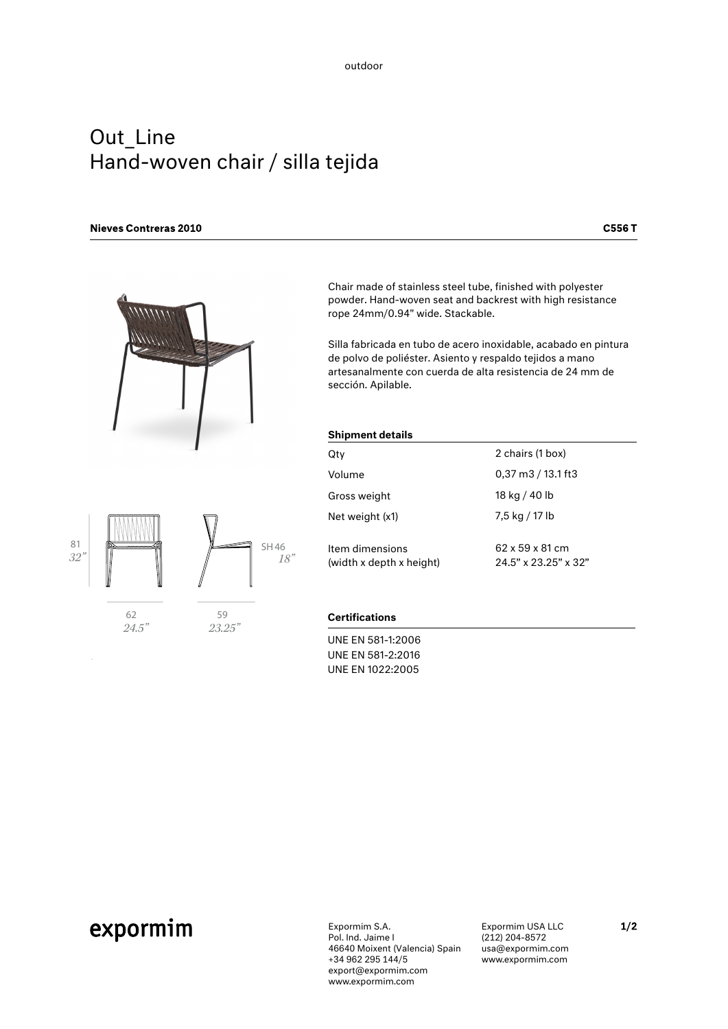# Out\_Line Hand-woven chair / silla tejida

# **Nieves Contreras 2010**

**C556T** 





 *24.5"*

 *23.25"*

hair made of stainless steel tube, finished with polyester powder. Hand-woven seat and backrest with high resistance rope 24mm/0.94" wide. Stackable.

Silla fabricada en tubo de acero inoxidable, acabado en pintura de polvo de poliéster. Asiento y respaldo tejidos a mano artesanalmente con cuerda de alta resistencia de 24 mm de sección. Apilable.

## Shipment details

| Qtv                                         | 2 chairs (1 box)                                    |
|---------------------------------------------|-----------------------------------------------------|
| Volume                                      | $0,37 \text{ m}$ $3 / 13.1 \text{ ft}$ $3$          |
| Gross weight                                | 18 kg / 40 lb                                       |
| Net weight (x1)                             | 7,5 kg / 17 lb                                      |
| Item dimensions<br>(width x depth x height) | 62 x 59 x 81 cm<br>$24.5" \times 23.25" \times 32"$ |

## **Certifications**

UNE EN 581-1:2006 UNE EN 581-2:2016 UNE EN 1022:2005

# expormim

Expormim S.A. Pol. Ind. Jaime I 46640 Moixent (Valencia) Spain +34 962 295 144/5 export@expormim.com www.expormim.com

Expormim USA LLC (212) 204-8572 usa@expormim.com www.expormim.com